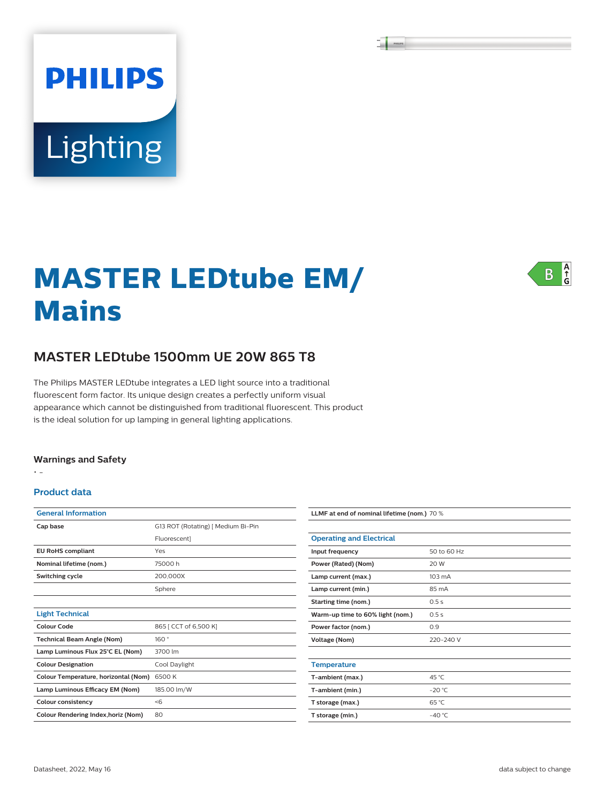# **PHILIPS** Lighting

#### $\frac{A}{G}$  $\overline{B}$

## **MASTER LEDtube EM/ Mains**

#### **MASTER LEDtube 1500mm UE 20W 865 T8**

The Philips MASTER LEDtube integrates a LED light source into a traditional fluorescent form factor. Its unique design creates a perfectly uniform visual appearance which cannot be distinguished from traditional fluorescent. This product is the ideal solution for up lamping in general lighting applications.

#### **Warnings and Safety**

• -

#### **Product data**

| <b>General Information</b>                 |                                    |
|--------------------------------------------|------------------------------------|
| Cap base                                   | G13 ROT (Rotating)   Medium Bi-Pin |
|                                            | Fluorescent]                       |
| <b>EU RoHS compliant</b>                   | Yes                                |
| Nominal lifetime (nom.)                    | 75000 h                            |
| Switching cycle                            | 200,000X                           |
|                                            | Sphere                             |
|                                            |                                    |
| <b>Light Technical</b>                     |                                    |
| Colour Code                                | 865 [ CCT of 6,500 K]              |
| <b>Technical Beam Angle (Nom)</b>          | 160°                               |
| Lamp Luminous Flux 25°C EL (Nom)           | 3700 lm                            |
| <b>Colour Designation</b>                  | Cool Daylight                      |
| Colour Temperature, horizontal (Nom)       | 6500K                              |
| Lamp Luminous Efficacy EM (Nom)            | 185.00 lm/W                        |
| Colour consistency                         | $<$ 6                              |
| <b>Colour Rendering Index, horiz (Nom)</b> | 80                                 |

| LLMF at end of nominal lifetime (nom.) 70 % |                  |  |
|---------------------------------------------|------------------|--|
|                                             |                  |  |
| <b>Operating and Electrical</b>             |                  |  |
| Input frequency                             | 50 to 60 Hz      |  |
| Power (Rated) (Nom)                         | 20 W             |  |
| Lamp current (max.)                         | $103 \text{ mA}$ |  |
| Lamp current (min.)                         | 85 mA            |  |
| Starting time (nom.)                        | 0.5s             |  |
| Warm-up time to 60% light (nom.)            | 0.5s             |  |
| Power factor (nom.)                         | 0.9              |  |
| <b>Voltage (Nom)</b>                        | 220-240 V        |  |
|                                             |                  |  |
| <b>Temperature</b>                          |                  |  |
| T-ambient (max.)                            | 45 °C            |  |
| T-ambient (min.)                            | $-20 °C$         |  |
| T storage (max.)                            | 65 °C            |  |
| T storage (min.)                            | $-40^{\circ}$ C  |  |
|                                             |                  |  |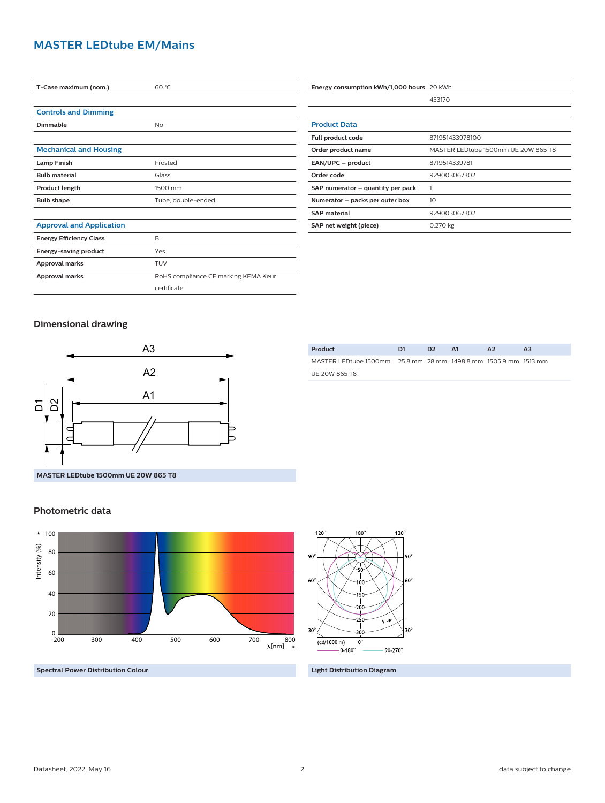#### **MASTER LEDtube EM/Mains**

| T-Case maximum (nom.)           | 60 °C                                |
|---------------------------------|--------------------------------------|
|                                 |                                      |
| <b>Controls and Dimming</b>     |                                      |
| Dimmable                        | No                                   |
|                                 |                                      |
| <b>Mechanical and Housing</b>   |                                      |
| <b>Lamp Finish</b>              | Frosted                              |
| <b>Bulb material</b>            | Glass                                |
| Product length                  | 1500 mm                              |
| <b>Bulb shape</b>               | Tube, double-ended                   |
|                                 |                                      |
| <b>Approval and Application</b> |                                      |
| <b>Energy Efficiency Class</b>  | B                                    |
| Energy-saving product           | Yes                                  |
| <b>Approval marks</b>           | TUV                                  |
| Approval marks                  | RoHS compliance CE marking KEMA Keur |
|                                 | certificate                          |

| Energy consumption kWh/1,000 hours 20 kWh |                                     |
|-------------------------------------------|-------------------------------------|
|                                           | 453170                              |
|                                           |                                     |
| <b>Product Data</b>                       |                                     |
| Full product code                         | 871951433978100                     |
| Order product name                        | MASTER LEDtube 1500mm UE 20W 865 T8 |
| EAN/UPC - product                         | 8719514339781                       |
| Order code                                | 929003067302                        |
| SAP numerator – quantity per pack         |                                     |
| Numerator - packs per outer box           | 10                                  |
| <b>SAP material</b>                       | 929003067302                        |
| SAP net weight (piece)                    | 0.270 kg                            |

#### **Dimensional drawing**



### MASTER LEDtube 1500mm 25.8 mm 28 mm 1498.8 mm 1505.9 mm 1513 mm UE 20W 865 T8

#### **Photometric data**



**Spectral Power Distribution Colour Light Distribution Diagram**

**Product D1 D2 A1 A2 A3**